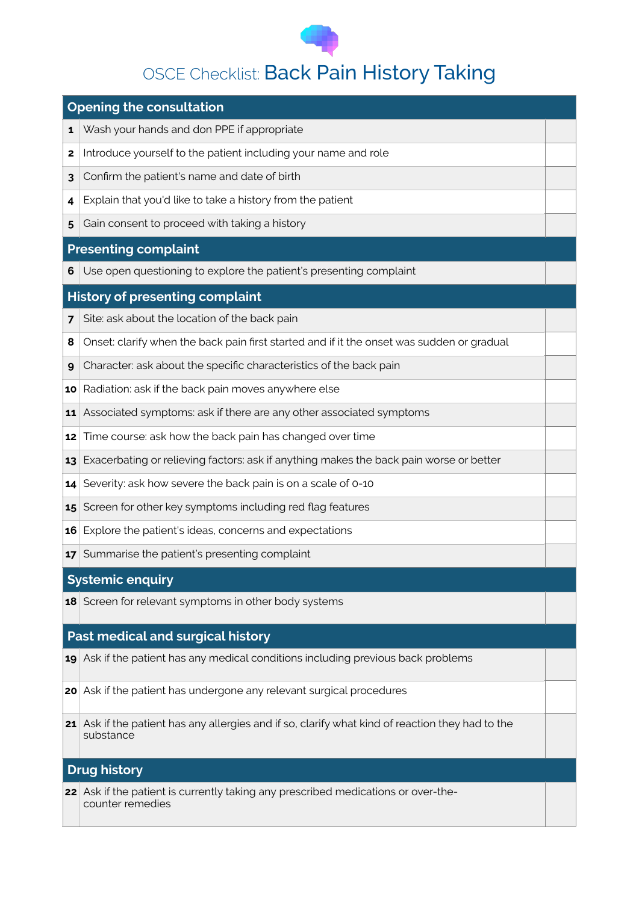

# **OSCE Checklist: Back Pain History Taking**

## **Opening the consultation** Wash your hands and don PPE if appropriate Introduce yourself to the patient including your name and role Confirm the patient's name and date of birth Explain that you'd like to take a history from the patient Gain consent to proceed with taking a history **Presenting complaint** Use open questioning to explore the patient's presenting complaint **History of presenting complaint** Site: ask about the location of the back pain Onset: clarify when the back pain first started and if it the onset was sudden or gradual Character: ask about the specific characteristics of the back pain

- Radiation: ask if the back pain moves anywhere else
- Associated symptoms: ask if there are any other associated symptoms
- Time course: ask how the back pain has changed over time
- Exacerbating or relieving factors: ask if anything makes the back pain worse or better
- Severity: ask how severe the back pain is on a scale of 0-10
- Screen for other key symptoms including red flag features
- Explore the patient's ideas, concerns and expectations
- Summarise the patient's presenting complaint

### **Systemic enquiry**

Screen for relevant symptoms in other body systems

### **Past medical and surgical history**

- Ask if the patient has any medical conditions including previous back problems
- Ask if the patient has undergone any relevant surgical procedures
- Ask if the patient has any allergies and if so, clarify what kind of reaction they had to the substance

### **Drug history**

 Ask if the patient is currently taking any prescribed medications or over-thecounter remedies